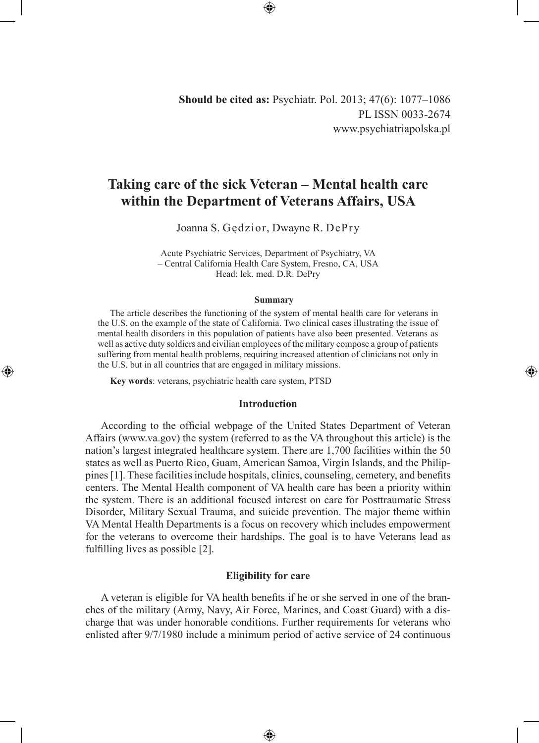**Should be cited as:** Psychiatr. Pol. 2013; 47(6): 1077–1086 PL ISSN 0033-2674 www.psychiatriapolska.pl

◈

# **Taking care of the sick Veteran – Mental health care within the Department of Veterans Affairs, USA**

Joanna S. Gędzior, Dwayne R. DePry

Acute Psychiatric Services, Department of Psychiatry, VA – Central California Health Care System, Fresno, CA, USA Head: lek. med. D.R. DePry

#### **Summary**

The article describes the functioning of the system of mental health care for veterans in the U.S. on the example of the state of California. Two clinical cases illustrating the issue of mental health disorders in this population of patients have also been presented. Veterans as well as active duty soldiers and civilian employees of the military compose a group of patients suffering from mental health problems, requiring increased attention of clinicians not only in the U.S. but in all countries that are engaged in military missions.

**Key words**: veterans, psychiatric health care system, PTSD

◈

### **Introduction**

According to the official webpage of the United States Department of Veteran Affairs (www.va.gov) the system (referred to as the VA throughout this article) is the nation's largest integrated healthcare system. There are 1,700 facilities within the 50 states as well as Puerto Rico, Guam, American Samoa, Virgin Islands, and the Philippines [1]. These facilities include hospitals, clinics, counseling, cemetery, and benefits centers. The Mental Health component of VA health care has been a priority within the system. There is an additional focused interest on care for Posttraumatic Stress Disorder, Military Sexual Trauma, and suicide prevention. The major theme within VA Mental Health Departments is a focus on recovery which includes empowerment for the veterans to overcome their hardships. The goal is to have Veterans lead as fulfilling lives as possible [2].

# **Eligibility for care**

A veteran is eligible for VA health benefits if he or she served in one of the branches of the military (Army, Navy, Air Force, Marines, and Coast Guard) with a discharge that was under honorable conditions. Further requirements for veterans who enlisted after 9/7/1980 include a minimum period of active service of 24 continuous

⊕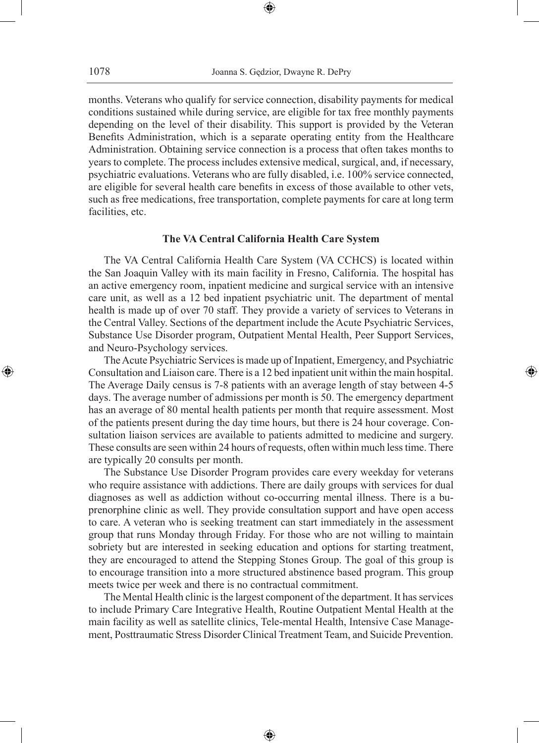months. Veterans who qualify for service connection, disability payments for medical conditions sustained while during service, are eligible for tax free monthly payments depending on the level of their disability. This support is provided by the Veteran Benefits Administration, which is a separate operating entity from the Healthcare Administration. Obtaining service connection is a process that often takes months to years to complete. The process includes extensive medical, surgical, and, if necessary, psychiatric evaluations. Veterans who are fully disabled, i.e. 100% service connected, are eligible for several health care benefits in excess of those available to other vets, such as free medications, free transportation, complete payments for care at long term facilities, etc.

# **The VA Central California Health Care System**

The VA Central California Health Care System (VA CCHCS) is located within the San Joaquin Valley with its main facility in Fresno, California. The hospital has an active emergency room, inpatient medicine and surgical service with an intensive care unit, as well as a 12 bed inpatient psychiatric unit. The department of mental health is made up of over 70 staff. They provide a variety of services to Veterans in the Central Valley. Sections of the department include the Acute Psychiatric Services, Substance Use Disorder program, Outpatient Mental Health, Peer Support Services, and Neuro-Psychology services.

The Acute Psychiatric Services is made up of Inpatient, Emergency, and Psychiatric Consultation and Liaison care. There is a 12 bed inpatient unit within the main hospital. The Average Daily census is 7-8 patients with an average length of stay between 4-5 days. The average number of admissions per month is 50. The emergency department has an average of 80 mental health patients per month that require assessment. Most of the patients present during the day time hours, but there is 24 hour coverage. Consultation liaison services are available to patients admitted to medicine and surgery. These consults are seen within 24 hours of requests, often within much less time. There are typically 20 consults per month.

◈

The Substance Use Disorder Program provides care every weekday for veterans who require assistance with addictions. There are daily groups with services for dual diagnoses as well as addiction without co-occurring mental illness. There is a buprenorphine clinic as well. They provide consultation support and have open access to care. A veteran who is seeking treatment can start immediately in the assessment group that runs Monday through Friday. For those who are not willing to maintain sobriety but are interested in seeking education and options for starting treatment, they are encouraged to attend the Stepping Stones Group. The goal of this group is to encourage transition into a more structured abstinence based program. This group meets twice per week and there is no contractual commitment.

The Mental Health clinic is the largest component of the department. It has services to include Primary Care Integrative Health, Routine Outpatient Mental Health at the main facility as well as satellite clinics, Tele-mental Health, Intensive Case Management, Posttraumatic Stress Disorder Clinical Treatment Team, and Suicide Prevention.

⊕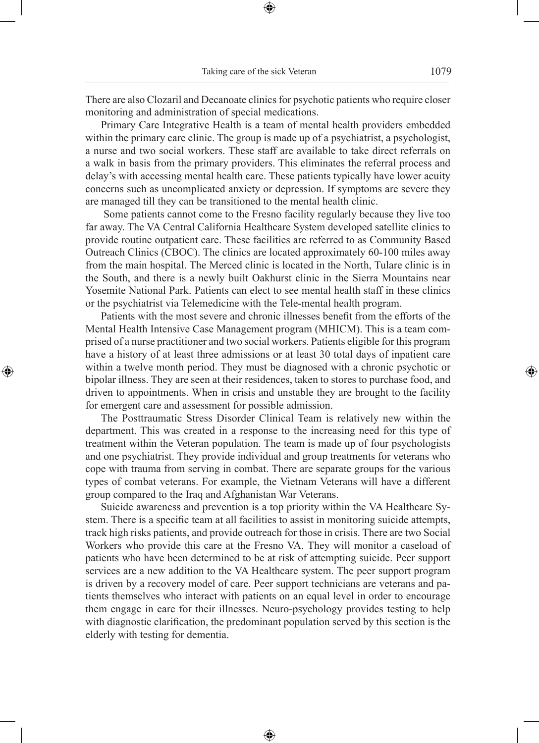There are also Clozaril and Decanoate clinics for psychotic patients who require closer monitoring and administration of special medications.

⊕

Primary Care Integrative Health is a team of mental health providers embedded within the primary care clinic. The group is made up of a psychiatrist, a psychologist, a nurse and two social workers. These staff are available to take direct referrals on a walk in basis from the primary providers. This eliminates the referral process and delay's with accessing mental health care. These patients typically have lower acuity concerns such as uncomplicated anxiety or depression. If symptoms are severe they are managed till they can be transitioned to the mental health clinic.

 Some patients cannot come to the Fresno facility regularly because they live too far away. The VA Central California Healthcare System developed satellite clinics to provide routine outpatient care. These facilities are referred to as Community Based Outreach Clinics (CBOC). The clinics are located approximately 60-100 miles away from the main hospital. The Merced clinic is located in the North, Tulare clinic is in the South, and there is a newly built Oakhurst clinic in the Sierra Mountains near Yosemite National Park. Patients can elect to see mental health staff in these clinics or the psychiatrist via Telemedicine with the Tele-mental health program.

Patients with the most severe and chronic illnesses benefit from the efforts of the Mental Health Intensive Case Management program (MHICM). This is a team comprised of a nurse practitioner and two social workers. Patients eligible for this program have a history of at least three admissions or at least 30 total days of inpatient care within a twelve month period. They must be diagnosed with a chronic psychotic or bipolar illness. They are seen at their residences, taken to stores to purchase food, and driven to appointments. When in crisis and unstable they are brought to the facility for emergent care and assessment for possible admission.

◈

The Posttraumatic Stress Disorder Clinical Team is relatively new within the department. This was created in a response to the increasing need for this type of treatment within the Veteran population. The team is made up of four psychologists and one psychiatrist. They provide individual and group treatments for veterans who cope with trauma from serving in combat. There are separate groups for the various types of combat veterans. For example, the Vietnam Veterans will have a different group compared to the Iraq and Afghanistan War Veterans.

Suicide awareness and prevention is a top priority within the VA Healthcare System. There is a specific team at all facilities to assist in monitoring suicide attempts, track high risks patients, and provide outreach for those in crisis. There are two Social Workers who provide this care at the Fresno VA. They will monitor a caseload of patients who have been determined to be at risk of attempting suicide. Peer support services are a new addition to the VA Healthcare system. The peer support program is driven by a recovery model of care. Peer support technicians are veterans and patients themselves who interact with patients on an equal level in order to encourage them engage in care for their illnesses. Neuro-psychology provides testing to help with diagnostic clarification, the predominant population served by this section is the elderly with testing for dementia.

⊕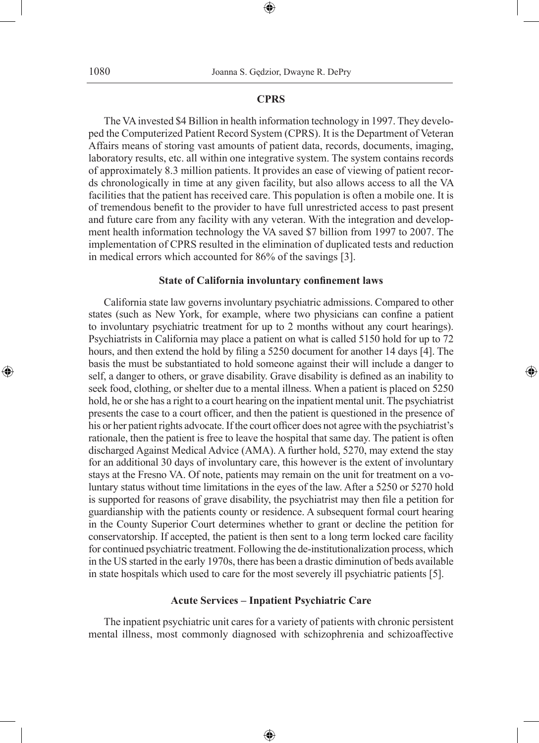## **CPRS**

⊕

The VA invested \$4 Billion in health information technology in 1997. They developed the Computerized Patient Record System (CPRS). It is the Department of Veteran Affairs means of storing vast amounts of patient data, records, documents, imaging, laboratory results, etc. all within one integrative system. The system contains records of approximately 8.3 million patients. It provides an ease of viewing of patient records chronologically in time at any given facility, but also allows access to all the VA facilities that the patient has received care. This population is often a mobile one. It is of tremendous benefit to the provider to have full unrestricted access to past present and future care from any facility with any veteran. With the integration and development health information technology the VA saved \$7 billion from 1997 to 2007. The implementation of CPRS resulted in the elimination of duplicated tests and reduction in medical errors which accounted for 86% of the savings [3].

#### **State of California involuntary confinement laws**

California state law governs involuntary psychiatric admissions. Compared to other states (such as New York, for example, where two physicians can confine a patient to involuntary psychiatric treatment for up to 2 months without any court hearings). Psychiatrists in California may place a patient on what is called 5150 hold for up to 72 hours, and then extend the hold by filing a 5250 document for another 14 days [4]. The basis the must be substantiated to hold someone against their will include a danger to self, a danger to others, or grave disability. Grave disability is defined as an inability to seek food, clothing, or shelter due to a mental illness. When a patient is placed on 5250 hold, he or she has a right to a court hearing on the inpatient mental unit. The psychiatrist presents the case to a court officer, and then the patient is questioned in the presence of his or her patient rights advocate. If the court officer does not agree with the psychiatrist's rationale, then the patient is free to leave the hospital that same day. The patient is often discharged Against Medical Advice (AMA). A further hold, 5270, may extend the stay for an additional 30 days of involuntary care, this however is the extent of involuntary stays at the Fresno VA. Of note, patients may remain on the unit for treatment on a voluntary status without time limitations in the eyes of the law. After a 5250 or 5270 hold is supported for reasons of grave disability, the psychiatrist may then file a petition for guardianship with the patients county or residence. A subsequent formal court hearing in the County Superior Court determines whether to grant or decline the petition for conservatorship. If accepted, the patient is then sent to a long term locked care facility for continued psychiatric treatment. Following the de-institutionalization process, which in the US started in the early 1970s, there has been a drastic diminution of beds available in state hospitals which used to care for the most severely ill psychiatric patients [5].

◈

## **Acute Services – Inpatient Psychiatric Care**

The inpatient psychiatric unit cares for a variety of patients with chronic persistent mental illness, most commonly diagnosed with schizophrenia and schizoaffective

⊕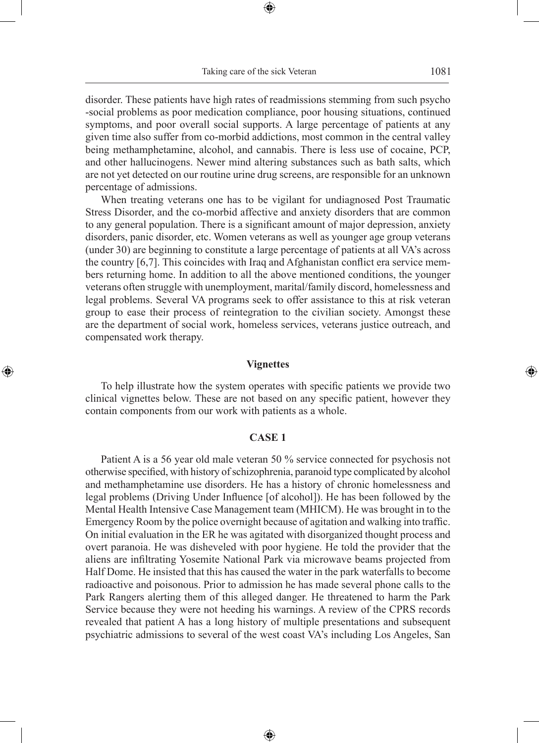disorder. These patients have high rates of readmissions stemming from such psycho -social problems as poor medication compliance, poor housing situations, continued symptoms, and poor overall social supports. A large percentage of patients at any given time also suffer from co-morbid addictions, most common in the central valley being methamphetamine, alcohol, and cannabis. There is less use of cocaine, PCP, and other hallucinogens. Newer mind altering substances such as bath salts, which are not yet detected on our routine urine drug screens, are responsible for an unknown percentage of admissions.

When treating veterans one has to be vigilant for undiagnosed Post Traumatic Stress Disorder, and the co-morbid affective and anxiety disorders that are common to any general population. There is a significant amount of major depression, anxiety disorders, panic disorder, etc. Women veterans as well as younger age group veterans (under 30) are beginning to constitute a large percentage of patients at all VA's across the country [6,7]. This coincides with Iraq and Afghanistan conflict era service members returning home. In addition to all the above mentioned conditions, the younger veterans often struggle with unemployment, marital/family discord, homelessness and legal problems. Several VA programs seek to offer assistance to this at risk veteran group to ease their process of reintegration to the civilian society. Amongst these are the department of social work, homeless services, veterans justice outreach, and compensated work therapy.

## **Vignettes**

◈

To help illustrate how the system operates with specific patients we provide two clinical vignettes below. These are not based on any specific patient, however they contain components from our work with patients as a whole.

# **CASE 1**

Patient A is a 56 year old male veteran 50 % service connected for psychosis not otherwise specified, with history of schizophrenia, paranoid type complicated by alcohol and methamphetamine use disorders. He has a history of chronic homelessness and legal problems (Driving Under Influence [of alcohol]). He has been followed by the Mental Health Intensive Case Management team (MHICM). He was brought in to the Emergency Room by the police overnight because of agitation and walking into traffic. On initial evaluation in the ER he was agitated with disorganized thought process and overt paranoia. He was disheveled with poor hygiene. He told the provider that the aliens are infiltrating Yosemite National Park via microwave beams projected from Half Dome. He insisted that this has caused the water in the park waterfalls to become radioactive and poisonous. Prior to admission he has made several phone calls to the Park Rangers alerting them of this alleged danger. He threatened to harm the Park Service because they were not heeding his warnings. A review of the CPRS records revealed that patient A has a long history of multiple presentations and subsequent psychiatric admissions to several of the west coast VA's including Los Angeles, San

⊕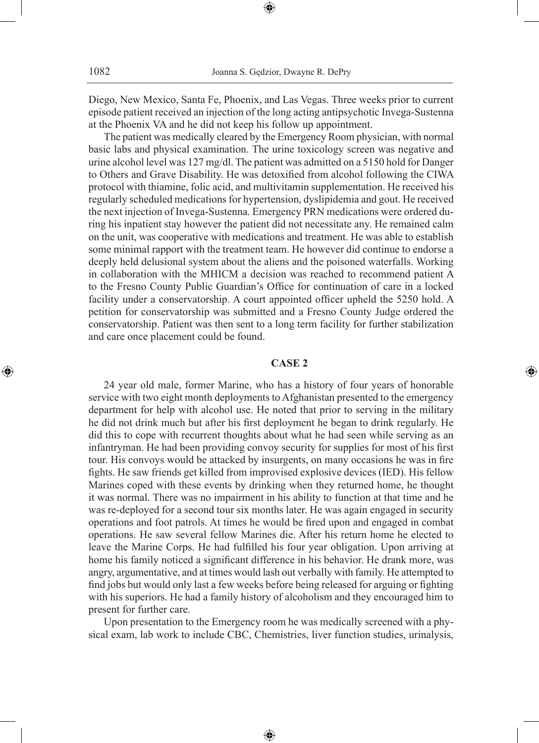Diego, New Mexico, Santa Fe, Phoenix, and Las Vegas. Three weeks prior to current episode patient received an injection of the long acting antipsychotic Invega-Sustenna at the Phoenix VA and he did not keep his follow up appointment.

⊕

The patient was medically cleared by the Emergency Room physician, with normal basic labs and physical examination. The urine toxicology screen was negative and urine alcohol level was 127 mg/dl. The patient was admitted on a 5150 hold for Danger to Others and Grave Disability. He was detoxified from alcohol following the CIWA protocol with thiamine, folic acid, and multivitamin supplementation. He received his regularly scheduled medications for hypertension, dyslipidemia and gout. He received the next injection of Invega-Sustenna. Emergency PRN medications were ordered during his inpatient stay however the patient did not necessitate any. He remained calm on the unit, was cooperative with medications and treatment. He was able to establish some minimal rapport with the treatment team. He however did continue to endorse a deeply held delusional system about the aliens and the poisoned waterfalls. Working in collaboration with the MHICM a decision was reached to recommend patient A to the Fresno County Public Guardian's Office for continuation of care in a locked facility under a conservatorship. A court appointed officer upheld the 5250 hold. A petition for conservatorship was submitted and a Fresno County Judge ordered the conservatorship. Patient was then sent to a long term facility for further stabilization and care once placement could be found.

# **CASE 2**

◈

24 year old male, former Marine, who has a history of four years of honorable service with two eight month deployments to Afghanistan presented to the emergency department for help with alcohol use. He noted that prior to serving in the military he did not drink much but after his first deployment he began to drink regularly. He did this to cope with recurrent thoughts about what he had seen while serving as an infantryman. He had been providing convoy security for supplies for most of his first tour. His convoys would be attacked by insurgents, on many occasions he was in fire fights. He saw friends get killed from improvised explosive devices (IED). His fellow Marines coped with these events by drinking when they returned home, he thought it was normal. There was no impairment in his ability to function at that time and he was re-deployed for a second tour six months later. He was again engaged in security operations and foot patrols. At times he would be fired upon and engaged in combat operations. He saw several fellow Marines die. After his return home he elected to leave the Marine Corps. He had fulfilled his four year obligation. Upon arriving at home his family noticed a significant difference in his behavior. He drank more, was angry, argumentative, and at times would lash out verbally with family. He attempted to find jobs but would only last a few weeks before being released for arguing or fighting with his superiors. He had a family history of alcoholism and they encouraged him to present for further care.

Upon presentation to the Emergency room he was medically screened with a physical exam, lab work to include CBC, Chemistries, liver function studies, urinalysis,

⊕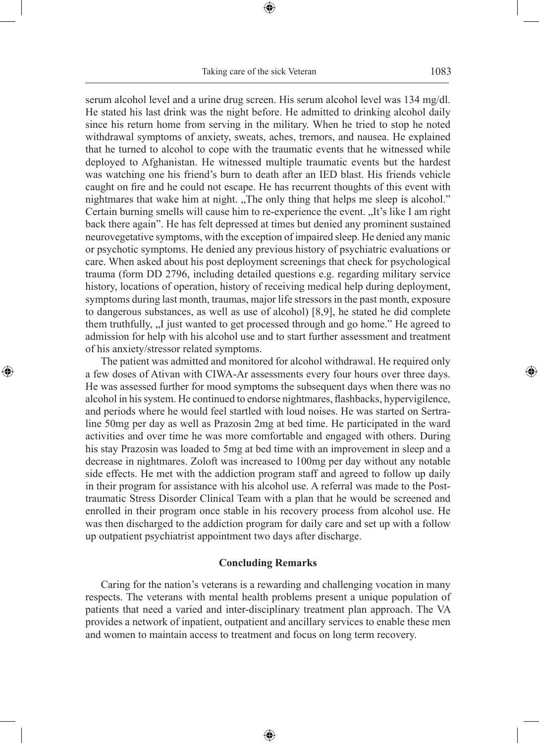serum alcohol level and a urine drug screen. His serum alcohol level was 134 mg/dl. He stated his last drink was the night before. He admitted to drinking alcohol daily since his return home from serving in the military. When he tried to stop he noted withdrawal symptoms of anxiety, sweats, aches, tremors, and nausea. He explained that he turned to alcohol to cope with the traumatic events that he witnessed while deployed to Afghanistan. He witnessed multiple traumatic events but the hardest was watching one his friend's burn to death after an IED blast. His friends vehicle caught on fire and he could not escape. He has recurrent thoughts of this event with nightmares that wake him at night. "The only thing that helps me sleep is alcohol." Certain burning smells will cause him to re-experience the event. "It's like I am right back there again". He has felt depressed at times but denied any prominent sustained neurovegetative symptoms, with the exception of impaired sleep. He denied any manic or psychotic symptoms. He denied any previous history of psychiatric evaluations or care. When asked about his post deployment screenings that check for psychological trauma (form DD 2796, including detailed questions e.g. regarding military service history, locations of operation, history of receiving medical help during deployment, symptoms during last month, traumas, major life stressors in the past month, exposure to dangerous substances, as well as use of alcohol) [8,9], he stated he did complete them truthfully, ...I just wanted to get processed through and go home." He agreed to admission for help with his alcohol use and to start further assessment and treatment of his anxiety/stressor related symptoms.

The patient was admitted and monitored for alcohol withdrawal. He required only a few doses of Ativan with CIWA-Ar assessments every four hours over three days. He was assessed further for mood symptoms the subsequent days when there was no alcohol in his system. He continued to endorse nightmares, flashbacks, hypervigilence, and periods where he would feel startled with loud noises. He was started on Sertraline 50mg per day as well as Prazosin 2mg at bed time. He participated in the ward activities and over time he was more comfortable and engaged with others. During his stay Prazosin was loaded to 5mg at bed time with an improvement in sleep and a decrease in nightmares. Zoloft was increased to 100mg per day without any notable side effects. He met with the addiction program staff and agreed to follow up daily in their program for assistance with his alcohol use. A referral was made to the Posttraumatic Stress Disorder Clinical Team with a plan that he would be screened and enrolled in their program once stable in his recovery process from alcohol use. He was then discharged to the addiction program for daily care and set up with a follow up outpatient psychiatrist appointment two days after discharge.

◈

# **Concluding Remarks**

Caring for the nation's veterans is a rewarding and challenging vocation in many respects. The veterans with mental health problems present a unique population of patients that need a varied and inter-disciplinary treatment plan approach. The VA provides a network of inpatient, outpatient and ancillary services to enable these men and women to maintain access to treatment and focus on long term recovery.

⊕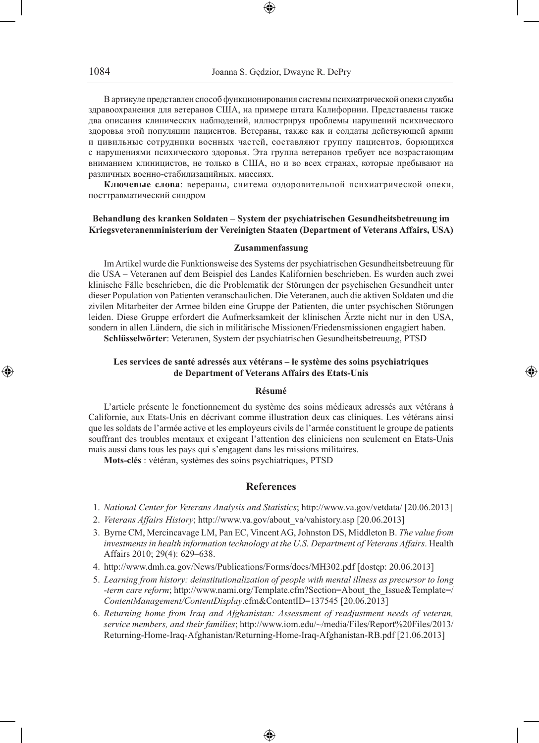В артикуле представлен способ функционирования системы психиатрической опеки службы здравоохранения для ветеранов США, на примере штата Калифорнии. Представлены также два описания клинических наблюдений, иллюстрируя проблемы нарушений психического здоровья этой популяции пациентов. Ветераны, также как и солдаты действующей армии и цивильные сотрудники военных частей, составляют группу пациентов, борющихся с нарушениями психического здоровья. Эта группа ветеранов требует все возрастающим вниманием клиницистов, не только в США, но и во всех странах, которые пребывают на различных военно-стабилизацийных. миссиях.

**Ключевые слова**: верераны, сиитема оздоровительной психиатрической опеки, посттравматический синдром

#### **Behandlung des kranken Soldaten – System der psychiatrischen Gesundheitsbetreuung im Kriegsveteranenministerium der Vereinigten Staaten (Department of Veterans Affairs, USA)**

#### **Zusammenfassung**

Im Artikel wurde die Funktionsweise des Systems der psychiatrischen Gesundheitsbetreuung für die USA – Veteranen auf dem Beispiel des Landes Kalifornien beschrieben. Es wurden auch zwei klinische Fälle beschrieben, die die Problematik der Störungen der psychischen Gesundheit unter dieser Population von Patienten veranschaulichen. Die Veteranen, auch die aktiven Soldaten und die zivilen Mitarbeiter der Armee bilden eine Gruppe der Patienten, die unter psychischen Störungen leiden. Diese Gruppe erfordert die Aufmerksamkeit der klinischen Ärzte nicht nur in den USA, sondern in allen Ländern, die sich in militärische Missionen/Friedensmissionen engagiert haben.

**Schlüsselwörter**: Veteranen, System der psychiatrischen Gesundheitsbetreuung, PTSD

### **Les services de santé adressés aux vétérans – le système des soins psychiatriques de Department of Veterans Affairs des Etats-Unis**

◈

#### **Résumé**

L'article présente le fonctionnement du système des soins médicaux adressés aux vétérans à Californie, aux Etats-Unis en décrivant comme illustration deux cas cliniques. Les vétérans ainsi que les soldats de l'armée active et les employeurs civils de l'armée constituent le groupe de patients souffrant des troubles mentaux et exigeant l'attention des cliniciens non seulement en Etats-Unis mais aussi dans tous les pays qui s'engagent dans les missions militaires.

**Mots-clés** : vétéran, systèmes des soins psychiatriques, PTSD

# **References**

- 1. *National Center for Veterans Analysis and Statistics*; http://www.va.gov/vetdata/ [20.06.2013]
- 2. *Veterans Affairs History*; http://www.va.gov/about\_va/vahistory.asp [20.06.2013]
- 3. Byrne CM, Mercincavage LM, Pan EC, Vincent AG, Johnston DS, Middleton B. *The value from investments in health information technology at the U.S. Department of Veterans Affairs*. Health Affairs 2010; 29(4): 629–638.
- 4. http://www.dmh.ca.gov/News/Publications/Forms/docs/MH302.pdf [dostęp: 20.06.2013]
- 5. *Learning from history: deinstitutionalization of people with mental illness as precursor to long -term care reform*; http://www.nami.org/Template.cfm?Section=About\_the\_Issue&Template=/ *ContentManagement/ContentDisplay*.cfm&ContentID=137545 [20.06.2013]
- 6. *Returning home from Iraq and Afghanistan: Assessment of readjustment needs of veteran, service members, and their families*; http://www.iom.edu/~/media/Files/Report%20Files/2013/ Returning-Home-Iraq-Afghanistan/Returning-Home-Iraq-Afghanistan-RB.pdf [21.06.2013]

♠